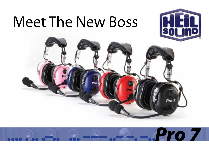# **Meet The New Boss**





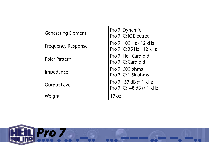| <b>Generating Element</b> | Pro 7: Dynamic<br>Pro 7 iC: iC Electret           |
|---------------------------|---------------------------------------------------|
| <b>Frequency Response</b> | Pro 7:100 Hz - 12 kHz<br>Pro 7 iC: 35 Hz - 12 kHz |
| <b>Polar Pattern</b>      | Pro 7: Heil Cardioid<br>Pro 7 iC: Cardioid        |
| Impedance                 | Pro 7:600 ohms<br>Pro 7 iC: 1.5k ohms             |
| <b>Output Level</b>       | Pro 7: -57 dB @ 1 kHz<br>Pro 7 iC: -48 dB @ 1 kHz |
| Weight                    | 17 oz                                             |

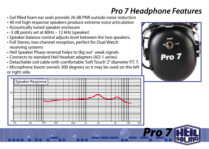### *Pro 7 Headphone Features*

- • Gel filled foam ear seals provide 26 dB PNR outside noise reduction
- 40 mil high response speakers produce extreme voice articulation
- • Acoustically tuned speaker enclosure
- • -3 dB points set at 80Hz 12 kHz (speaker)
- Speaker balance control adjusts level between the two speakers.
- Full Stereo, two channel reception, perfect for Dual Watch receiving systems
- Heil Speaker Phase reversal helps to 'dig out' weak signals
- • Connects to standard Heil headset adapters (AD-1 series)
- Detachable coil cable with comfortable 'Soft Touch' 2" diameter P.T. T.
- Microphone boom swivels 300 degrees so it may be used on the left or right side.



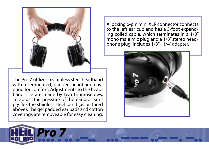

The Pro 7 utilizes a stainless steel headband with a segmented, padded headband covering for comfort. Adjustments to the headband size are made by two thumbscrews. To adjust the pressure of the earpads simply flex the stainless steel band (as pictured above). The gel padded ear pads and cotton coverings are removeable for easy cleaning.

A locking 6-pin mini XLR connector connects<br>to the left ear cup and has a 3-foot expanding coiled cable, which terminates in a  $1/8$ " mono male mic plug and a  $1/8$ " stereo headphone plug. Includes  $1/8"$  -  $1/4"$  adapter.



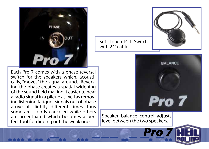

Each Pro 7 comes with a phase reversal switch for the speakers which, acoustically, "moves" the signal around. Reversing the phase creates a spatial widening of the sound field making it easier to hear a radio signal in a pileup as well as removing listening fatigue. Signals out of phase arrive at slightly different times, thus some are slightly canceled while others<br>are accentuated which becomes a perfect tool for digging out the weak ones.



**BALANCE Pro 7** 

Speaker balance control adjusts level between the two speakers.

Soft Touch PTT Switch

with 24" cable.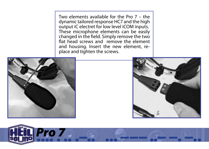Two elements available for the Pro 7 – the dynamic tailored response HC7 and the high output iC electret for low level iCOM inputs. These microphone elements can be easily changed in the field. Simply remove the two flat head screws and remove the element and housing. Insert the new element, replace and tighten the screws.





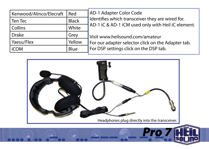| Kenwood/Alinco/Elecraft | Red          |
|-------------------------|--------------|
| Ten Tec                 | <b>Black</b> |
| Collins                 | White        |
| <b>Drake</b>            | Grey         |
| Yaesu/Flex              | Yellow       |
| <b>iCOM</b>             | Blue         |

AD-1 Adapter Color Code Identifies which transceiver they are wired for. AD-1 iC & AD-1 iCM used only with Heil iC element.

Visit www.heilsound.com/amateur For our adapter selector click on the Adapter tab. For DSP settings click on the DSP tab.

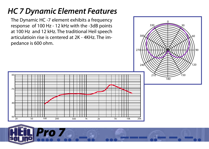## *HC 7 Dynamic Element Features*

The Dynamic HC -7 element exhibits a frequency response of 100 Hz - 12 kHz with the -3dB points at 100 Hz and 12 kHz. The traditional Heil speech articulatioin rise is centered at 2K - 4KHz. The impedance is 600 ohm.



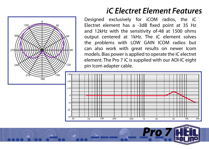

### *iC Electret Element Features*

Designed exclusively for iCOM radios, the iC Electret element has a -3dB fixed point at 35 Hz and 12kHz with the sensitivity of-48 at 1500 ohms output centered at 1kHz. The iC element solves the problems with LOW GAIN ICOM radios but can also work with great results on newer Icom models. Bias power is applied to operate the iC electret element. The Pro 7 iC is supplied with our ADl-lC eight pin Icom adapter cable.

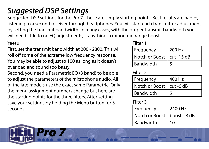## *Suggested DSP Settings*

Suggested DSP settings for the Pro 7. These are simply starting points. Best results are had by listening to a second receiver through headphones. You will start each transmitter adjustment by setting the transmit bandwidth. In many cases, with the proper transmit bandwidth you will need little to no EQ adjustments, if anything, a minor mid range boost.

First, set the transmit bandwidth at 200 - 2800. This will roll off some of the extreme low frequency response. You may be able to adjust to 100 as long as it doesn't overload and sound too bassy.

Second, you need a Parametric EQ (3 band) to be able to adjust the parameters of the microphone audio. All of the late models use the exact same Parametric. Only the menu assignment numbers change but here are the starting points for the three filters. After setting, save your settings by holding the Menu button for 3 seconds.

| Yaesu                                                                                 | Filter 1                    |        |
|---------------------------------------------------------------------------------------|-----------------------------|--------|
| First, set the transmit bandwidth at 200 - 2800. This will                            | Frequency                   | 200 Hz |
| roll off some of the extreme low frequency response.                                  | Notch or Boost   cut -15 dB |        |
| You may be able to adjust to 100 as long as it doesn't<br>warload and cound too haccy | Bandwidth                   |        |

### Filter 2

| Frequency                  | 400 Hz |
|----------------------------|--------|
| Notch or Boost   cut -6 dB |        |
| <b>Bandwidth</b>           |        |

### Filter 3

| Frequency                    | 2400 Hz |
|------------------------------|---------|
| Notch or Boost   boost +8 dB |         |
| <b>Bandwidth</b>             | 10      |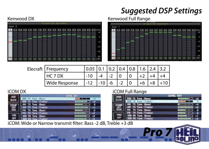## *Suggested DSP Settings*



### Kenwood DX **Kenwood Full Range**



| Elecraft   Frequency |       |       |    | $\vert 0.1 \vert 0.2 \vert 0.4 \vert 0.8 \vert 1.6 \vert 2.4$ | 3.2 |
|----------------------|-------|-------|----|---------------------------------------------------------------|-----|
|                      |       |       |    | ר ו                                                           |     |
| Wide Response        | $-12$ | $-10$ | ົາ |                                                               |     |

|                                          | SB TX Tone (Treble) |  |  |  |
|------------------------------------------|---------------------|--|--|--|
| AM TX Tone (Bass)<br>AM TX Tong (Treble) |                     |  |  |  |
|                                          |                     |  |  |  |
|                                          | FM TX Tone (Bass)   |  |  |  |
|                                          | TX Tone (Treble)    |  |  |  |
|                                          | RX Tone (Bass)      |  |  |  |
|                                          |                     |  |  |  |

### iCOM DX iCOM Full Range

|  | SSB TX Tone (Bass)   |  |
|--|----------------------|--|
|  |                      |  |
|  | AM TX Tone (Bass)    |  |
|  | AM TX Tone (Treble)  |  |
|  | FM TX Tone (Bass)    |  |
|  | TX Tone (Treble)     |  |
|  | SSB RX Tone (Bass)   |  |
|  | SSB RX Tone (Treble) |  |

Pro 7

iCOM: Wide or Narrow transmit filter: Bass -2 dB, Treble +3 dB